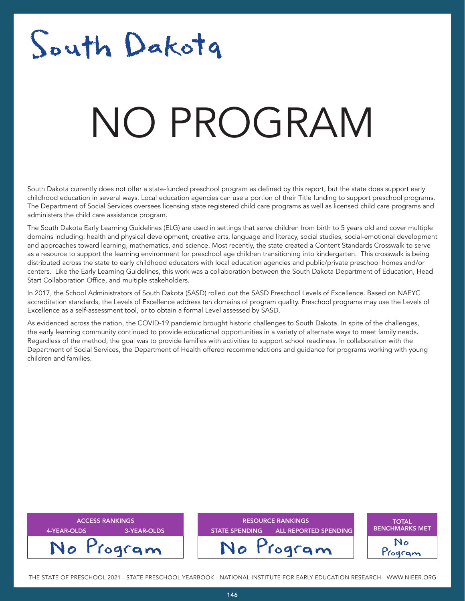## South Dakota

### NATA T NO PROGRAM

South Dakota currently does not offer a state-funded preschool program as defined by this report, but the state does support early childhood education in several ways. Local education agencies can use a portion of their Title funding to support preschool programs. The Department of Social Services oversees licensing state registered child care programs as well as licensed child care programs and administers the child care assistance program.

The South Dakota Early Learning Guidelines (ELG) are used in settings that serve children from birth to 5 years old and cover multiple domains including: health and physical development, creative arts, language and literacy, social studies, social-emotional development and approaches toward learning, mathematics, and science. Most recently, the state created a Content Standards Crosswalk to serve as a resource to support the learning environment for preschool age children transitioning into kindergarten. This crosswalk is being distributed across the state to early childhood educators with local education agencies and public/private preschool homes and/or centers. Like the Early Learning Guidelines, this work was a collaboration between the South Dakota Department of Education, Head Start Collaboration Office, and multiple stakeholders.

In 2017, the School Administrators of South Dakota (SASD) rolled out the SASD Preschool Levels of Excellence. Based on NAEYC accreditation standards, the Levels of Excellence address ten domains of program quality. Preschool programs may use the Levels of Excellence as a self-assessment tool, or to obtain a formal Level assessed by SASD.

As evidenced across the nation, the COVID-19 pandemic brought historic challenges to South Dakota. In spite of the challenges, the early learning community continued to provide educational opportunities in a variety of alternate ways to meet family needs. Regardless of the method, the goal was to provide families with activities to support school readiness. In collaboration with the Department of Social Services, the Department of Health offered recommendations and guidance for programs working with young children and families.

| <b>ACCESS RANKINGS</b><br>3-YEAR-OLDS<br>4-YEAR-OLDS | <b>RESOURCE RANKINGS</b><br><b>ALL REPORTED SPENDING</b><br><b>STATE SPENDING</b> | <b>TOTAL</b><br><b>BENCHMARKS MET</b> |
|------------------------------------------------------|-----------------------------------------------------------------------------------|---------------------------------------|
| No Program                                           | No Program                                                                        | No<br>rogram                          |

THE STATE OF PRESCHOOL 2021 - STATE PRESCHOOL YEARBOOK - NATIONAL INSTITUTE FOR EARLY EDUCATION RESEARCH - WWW.NIEER.ORG